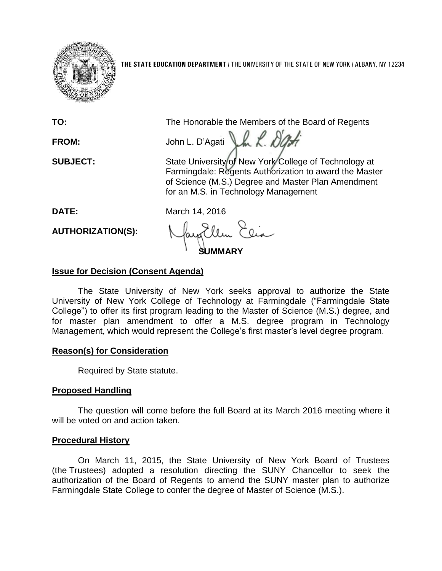

**THE STATE EDUCATION DEPARTMENT** / THE UNIVERSITY OF THE STATE OF NEW YORK / ALBANY, NY 12234

| TO:                      | The Honorable the Members of the Board of Regents                                                                                                                                                             |
|--------------------------|---------------------------------------------------------------------------------------------------------------------------------------------------------------------------------------------------------------|
| FROM:                    | John L. D'Agati                                                                                                                                                                                               |
| <b>SUBJECT:</b>          | State University of New York College of Technology at<br>Farmingdale: Regents Authorization to award the Master<br>of Science (M.S.) Degree and Master Plan Amendment<br>for an M.S. in Technology Management |
| DATE:                    | March 14, 2016                                                                                                                                                                                                |
| <b>AUTHORIZATION(S):</b> |                                                                                                                                                                                                               |

# **Issue for Decision (Consent Agenda)**

The State University of New York seeks approval to authorize the State University of New York College of Technology at Farmingdale ("Farmingdale State College") to offer its first program leading to the Master of Science (M.S.) degree, and for master plan amendment to offer a M.S. degree program in Technology Management, which would represent the College's first master's level degree program.

# **Reason(s) for Consideration**

Required by State statute.

# **Proposed Handling**

The question will come before the full Board at its March 2016 meeting where it will be voted on and action taken.

### **Procedural History**

On March 11, 2015, the State University of New York Board of Trustees (the Trustees) adopted a resolution directing the SUNY Chancellor to seek the authorization of the Board of Regents to amend the SUNY master plan to authorize Farmingdale State College to confer the degree of Master of Science (M.S.).